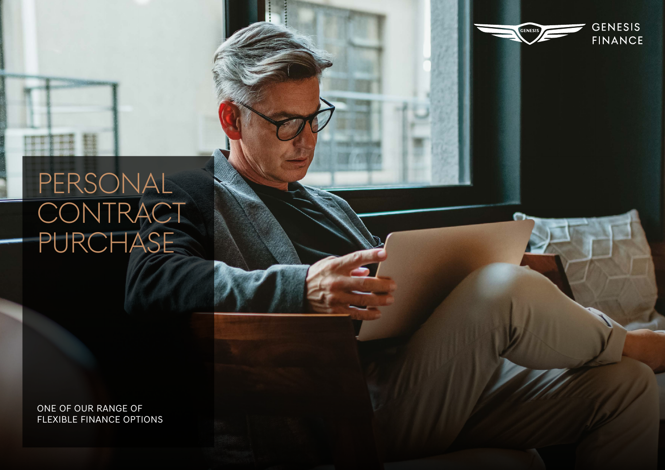# PERSONAL **CONTRACT** PURCHASE

ONE OF OUR RANGE OF FLEXIBLE FINANCE OPTIONS

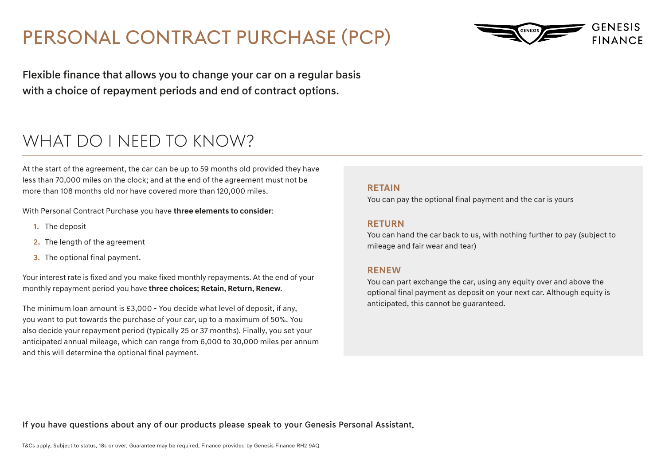# PERSONAL CONTRACT PURCHASE (PCP)



Flexible finance that allows you to change your car on a regular basis with a choice of repayment periods and end of contract options.

### WHAT DO I NFFD TO KNOW?

At the start of the agreement, the car can be up to 59 months old provided they have less than 70,000 miles on the clock; and at the end of the agreement must not be more than 108 months old nor have covered more than 120,000 miles.

With Personal Contract Purchase you have **three elements to consider**:

- **1.** The deposit
- **2.** The length of the agreement
- **3.** The optional final payment.

Your interest rate is fixed and you make fixed monthly repayments. At the end of your monthly repayment period you have **three choices; Retain, Return, Renew**.

The minimum loan amount is £3,000 - You decide what level of deposit, if any, you want to put towards the purchase of your car, up to a maximum of 50%. You also decide your repayment period (typically 25 or 37 months). Finally, you set your anticipated annual mileage, which can range from 6,000 to 30,000 miles per annum and this will determine the optional final payment.

#### **RETAIN**

You can pay the optional final payment and the car is yours

#### **RETURN**

You can hand the car back to us, with nothing further to pay (subject to mileage and fair wear and tear)

#### **RENEW**

You can part exchange the car, using any equity over and above the optional final payment as deposit on your next car. Although equity is anticipated, this cannot be guaranteed.

If you have questions about any of our products please speak to your Genesis Personal Assistant.